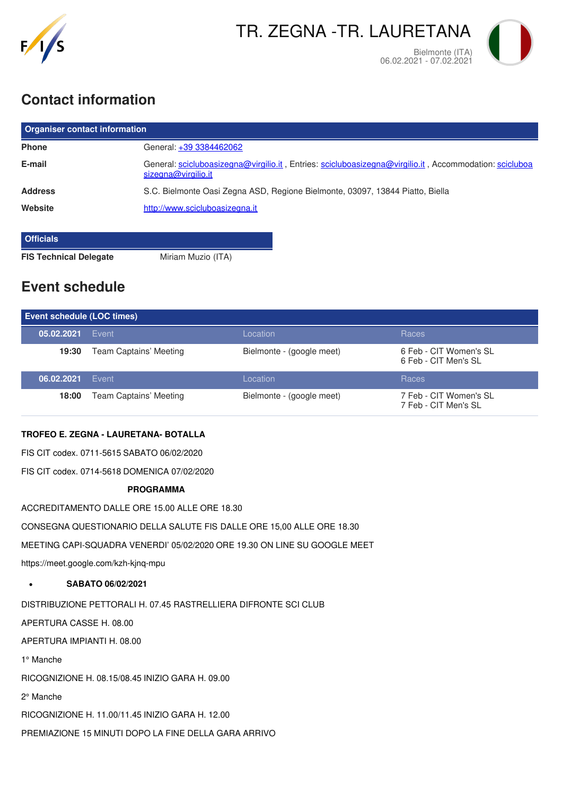

# **Contact information**

| <b>Organiser contact information</b> |                                                                                                                               |  |  |
|--------------------------------------|-------------------------------------------------------------------------------------------------------------------------------|--|--|
| <b>Phone</b>                         | General: +39 3384462062                                                                                                       |  |  |
| E-mail                               | General: scicluboasizegna@virgilio.it, Entries: scicluboasizegna@virgilio.it, Accommodation: scicluboa<br>sizegna@virgilio.it |  |  |
| <b>Address</b>                       | S.C. Bielmonte Oasi Zegna ASD, Regione Bielmonte, 03097, 13844 Piatto, Biella                                                 |  |  |
| Website                              | http://www.scicluboasizegna.it                                                                                                |  |  |
| <b>Officials</b>                     |                                                                                                                               |  |  |

**FIS Technical Delegate** Miriam Muzio (ITA)

# **Event schedule**

| <b>Event schedule (LOC times)</b> |                        |                           |                                                |  |
|-----------------------------------|------------------------|---------------------------|------------------------------------------------|--|
| 05.02.2021                        | Event                  | Location                  | Races                                          |  |
| 19:30                             | Team Captains' Meeting | Bielmonte - (google meet) | 6 Feb - CIT Women's SL<br>6 Feb - CIT Men's SL |  |
| 06.02.2021                        | Event                  | Location                  | Races                                          |  |
| 18:00                             | Team Captains' Meeting | Bielmonte - (google meet) | 7 Feb - CIT Women's SL<br>7 Feb - CIT Men's SL |  |

### **TROFEO E. ZEGNA - LAURETANA- BOTALLA**

FIS CIT codex. 0711-5615 SABATO 06/02/2020

FIS CIT codex. 0714-5618 DOMENICA 07/02/2020

#### **PROGRAMMA**

ACCREDITAMENTO DALLE ORE 15.00 ALLE ORE 18.30

CONSEGNA QUESTIONARIO DELLA SALUTE FIS DALLE ORE 15,00 ALLE ORE 18.30

MEETING CAPI-SQUADRA VENERDI' 05/02/2020 ORE 19.30 ON LINE SU GOOGLE MEET

https://meet.google.com/kzh-kjnq-mpu

**SABATO 06/02/2021**  $\bullet$ 

DISTRIBUZIONE PETTORALI H. 07.45 RASTRELLIERA DIFRONTE SCI CLUB

APERTURA CASSE H. 08.00

APERTURA IMPIANTI H. 08.00

1° Manche

RICOGNIZIONE H. 08.15/08.45 INIZIO GARA H. 09.00

2° Manche

RICOGNIZIONE H. 11.00/11.45 INIZIO GARA H. 12.00

PREMIAZIONE 15 MINUTI DOPO LA FINE DELLA GARA ARRIVO